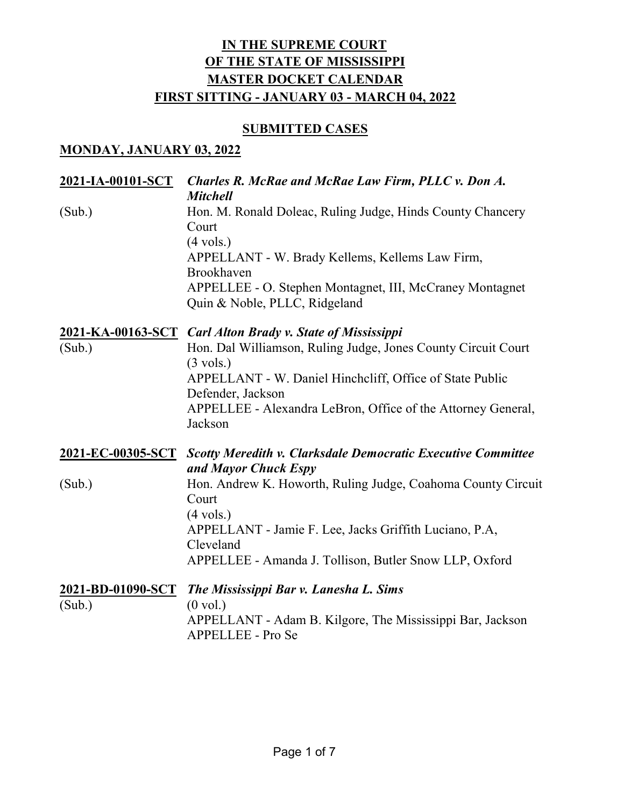#### **SUBMITTED CASES**

### **MONDAY, JANUARY 03, 2022**

| 2021-IA-00101-SCT           | Charles R. McRae and McRae Law Firm, PLLC v. Don A.<br><b>Mitchell</b>                                                                                                                                                                                   |
|-----------------------------|----------------------------------------------------------------------------------------------------------------------------------------------------------------------------------------------------------------------------------------------------------|
| (Sub.)                      | Hon. M. Ronald Doleac, Ruling Judge, Hinds County Chancery<br>Court<br>$(4 \text{ vols.})$<br>APPELLANT - W. Brady Kellems, Kellems Law Firm,<br>Brookhaven<br>APPELLEE - O. Stephen Montagnet, III, McCraney Montagnet<br>Quin & Noble, PLLC, Ridgeland |
|                             | 2021-KA-00163-SCT Carl Alton Brady v. State of Mississippi                                                                                                                                                                                               |
| (Sub.)                      | Hon. Dal Williamson, Ruling Judge, Jones County Circuit Court<br>$(3 \text{ vols.})$                                                                                                                                                                     |
|                             | APPELLANT - W. Daniel Hinchcliff, Office of State Public                                                                                                                                                                                                 |
|                             | Defender, Jackson<br>APPELLEE - Alexandra LeBron, Office of the Attorney General,                                                                                                                                                                        |
|                             | Jackson                                                                                                                                                                                                                                                  |
| 2021-EC-00305-SCT           | <b>Scotty Meredith v. Clarksdale Democratic Executive Committee</b><br>and Mayor Chuck Espy                                                                                                                                                              |
| (Sub.)                      | Hon. Andrew K. Howorth, Ruling Judge, Coahoma County Circuit<br>Court                                                                                                                                                                                    |
|                             | $(4 \text{ vols.})$<br>APPELLANT - Jamie F. Lee, Jacks Griffith Luciano, P.A,                                                                                                                                                                            |
|                             | Cleveland                                                                                                                                                                                                                                                |
|                             | APPELLEE - Amanda J. Tollison, Butler Snow LLP, Oxford                                                                                                                                                                                                   |
| 2021-BD-01090-SCT<br>(Sub.) | The Mississippi Bar v. Lanesha L. Sims<br>$(0 \text{ vol.})$                                                                                                                                                                                             |
|                             | APPELLANT - Adam B. Kilgore, The Mississippi Bar, Jackson<br>APPELLEE - Pro Se                                                                                                                                                                           |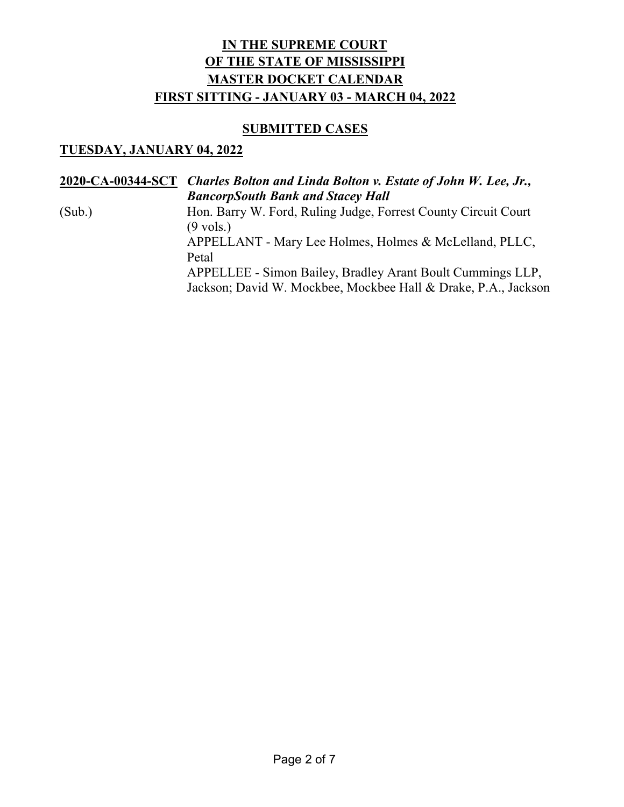#### **SUBMITTED CASES**

### **TUESDAY, JANUARY 04, 2022**

|        | 2020-CA-00344-SCT Charles Bolton and Linda Bolton v. Estate of John W. Lee, Jr.,                                             |
|--------|------------------------------------------------------------------------------------------------------------------------------|
|        | <b>BancorpSouth Bank and Stacey Hall</b>                                                                                     |
| (Sub.) | Hon. Barry W. Ford, Ruling Judge, Forrest County Circuit Court<br>$(9 \text{ vols.})$                                        |
|        | APPELLANT - Mary Lee Holmes, Holmes & McLelland, PLLC,<br>Petal                                                              |
|        | APPELLEE - Simon Bailey, Bradley Arant Boult Cummings LLP,<br>Jackson; David W. Mockbee, Mockbee Hall & Drake, P.A., Jackson |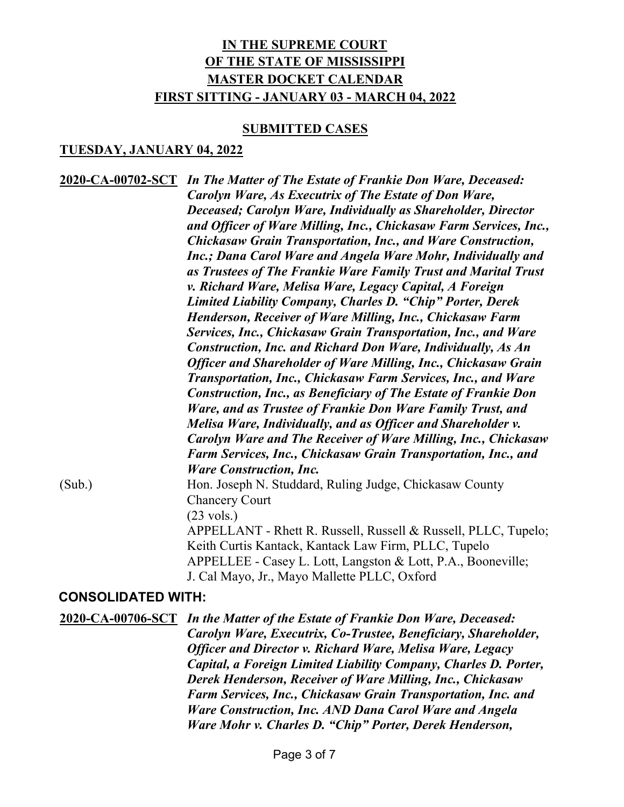#### **SUBMITTED CASES**

#### **TUESDAY, JANUARY 04, 2022**

**2020-CA-00702-SCT** *In The Matter of The Estate of Frankie Don Ware, Deceased: Carolyn Ware, As Executrix of The Estate of Don Ware, Deceased; Carolyn Ware, Individually as Shareholder, Director and Officer of Ware Milling, Inc., Chickasaw Farm Services, Inc., Chickasaw Grain Transportation, Inc., and Ware Construction, Inc.; Dana Carol Ware and Angela Ware Mohr, Individually and as Trustees of The Frankie Ware Family Trust and Marital Trust v. Richard Ware, Melisa Ware, Legacy Capital, A Foreign Limited Liability Company, Charles D. "Chip" Porter, Derek Henderson, Receiver of Ware Milling, Inc., Chickasaw Farm Services, Inc., Chickasaw Grain Transportation, Inc., and Ware Construction, Inc. and Richard Don Ware, Individually, As An Officer and Shareholder of Ware Milling, Inc., Chickasaw Grain Transportation, Inc., Chickasaw Farm Services, Inc., and Ware Construction, Inc., as Beneficiary of The Estate of Frankie Don Ware, and as Trustee of Frankie Don Ware Family Trust, and Melisa Ware, Individually, and as Officer and Shareholder v. Carolyn Ware and The Receiver of Ware Milling, Inc., Chickasaw Farm Services, Inc., Chickasaw Grain Transportation, Inc., and Ware Construction, Inc.* (Sub.) Hon. Joseph N. Studdard, Ruling Judge, Chickasaw County Chancery Court (23 vols.) APPELLANT - Rhett R. Russell, Russell & Russell, PLLC, Tupelo; Keith Curtis Kantack, Kantack Law Firm, PLLC, Tupelo APPELLEE - Casey L. Lott, Langston & Lott, P.A., Booneville; J. Cal Mayo, Jr., Mayo Mallette PLLC, Oxford

#### **CONSOLIDATED WITH:**

**2020-CA-00706-SCT** *In the Matter of the Estate of Frankie Don Ware, Deceased: Carolyn Ware, Executrix, Co-Trustee, Beneficiary, Shareholder, Officer and Director v. Richard Ware, Melisa Ware, Legacy Capital, a Foreign Limited Liability Company, Charles D. Porter, Derek Henderson, Receiver of Ware Milling, Inc., Chickasaw Farm Services, Inc., Chickasaw Grain Transportation, Inc. and Ware Construction, Inc. AND Dana Carol Ware and Angela Ware Mohr v. Charles D. "Chip" Porter, Derek Henderson,*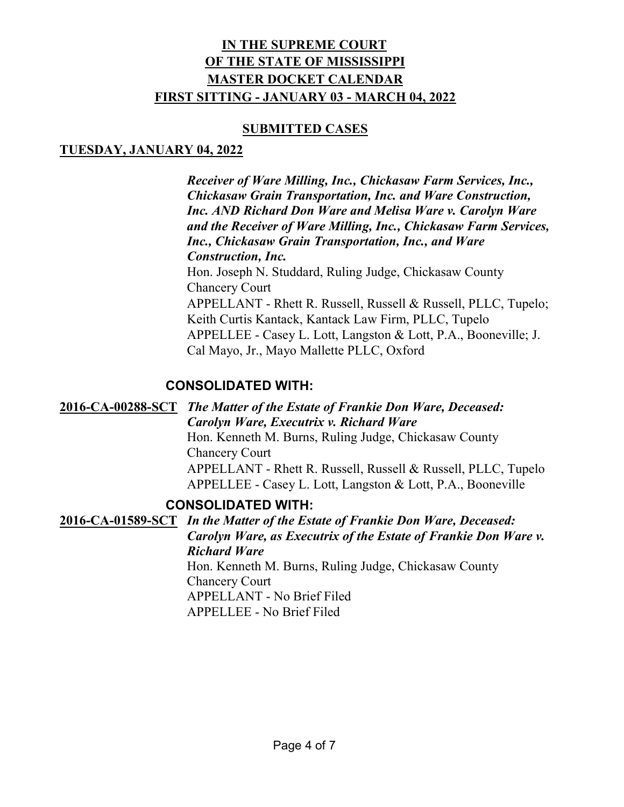#### **SUBMITTED CASES**

# **TUESDAY, JANUARY 04, 2022**

*Receiver of Ware Milling, Inc., Chickasaw Farm Services, Inc., Chickasaw Grain Transportation, Inc. and Ware Construction, Inc. AND Richard Don Ware and Melisa Ware v. Carolyn Ware and the Receiver of Ware Milling, Inc., Chickasaw Farm Services, Inc., Chickasaw Grain Transportation, Inc., and Ware Construction, Inc.* Hon. Joseph N. Studdard, Ruling Judge, Chickasaw County Chancery Court APPELLANT - Rhett R. Russell, Russell & Russell, PLLC, Tupelo; Keith Curtis Kantack, Kantack Law Firm, PLLC, Tupelo APPELLEE - Casey L. Lott, Langston & Lott, P.A., Booneville; J. Cal Mayo, Jr., Mayo Mallette PLLC, Oxford

# **CONSOLIDATED WITH:**

**2016-CA-00288-SCT** *The Matter of the Estate of Frankie Don Ware, Deceased: Carolyn Ware, Executrix v. Richard Ware* Hon. Kenneth M. Burns, Ruling Judge, Chickasaw County Chancery Court APPELLANT - Rhett R. Russell, Russell & Russell, PLLC, Tupelo APPELLEE - Casey L. Lott, Langston & Lott, P.A., Booneville

#### **CONSOLIDATED WITH:**

**2016-CA-01589-SCT** *In the Matter of the Estate of Frankie Don Ware, Deceased: Carolyn Ware, as Executrix of the Estate of Frankie Don Ware v. Richard Ware* Hon. Kenneth M. Burns, Ruling Judge, Chickasaw County Chancery Court APPELLANT - No Brief Filed

APPELLEE - No Brief Filed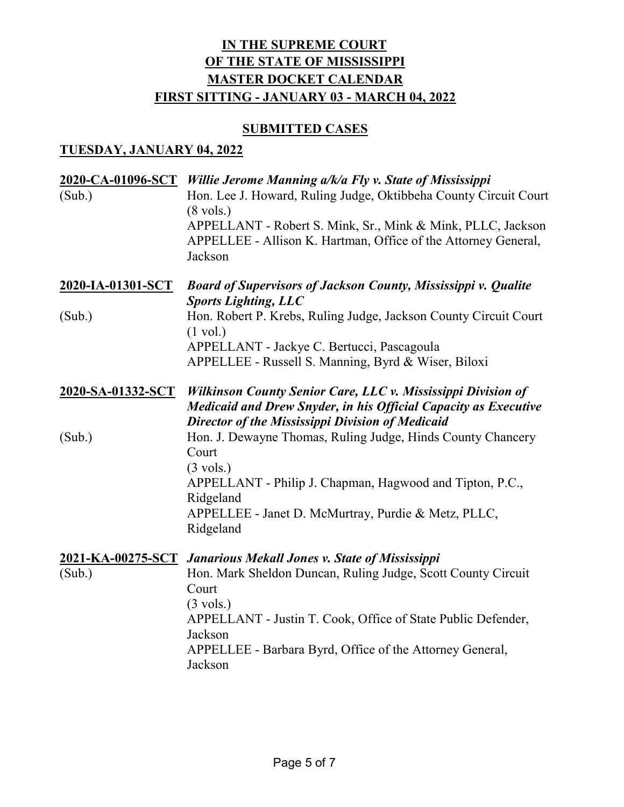#### **SUBMITTED CASES**

#### **TUESDAY, JANUARY 04, 2022**

| (Sub.)                   | 2020-CA-01096-SCT Willie Jerome Manning a/k/a Fly v. State of Mississippi<br>Hon. Lee J. Howard, Ruling Judge, Oktibbeha County Circuit Court<br>$(8 \text{ vols.})$<br>APPELLANT - Robert S. Mink, Sr., Mink & Mink, PLLC, Jackson<br>APPELLEE - Allison K. Hartman, Office of the Attorney General,<br>Jackson   |
|--------------------------|--------------------------------------------------------------------------------------------------------------------------------------------------------------------------------------------------------------------------------------------------------------------------------------------------------------------|
| <u>2020-IA-01301-SCT</u> | <b>Board of Supervisors of Jackson County, Mississippi v. Qualite</b><br><b>Sports Lighting, LLC</b>                                                                                                                                                                                                               |
| (Sub.)                   | Hon. Robert P. Krebs, Ruling Judge, Jackson County Circuit Court<br>$(1 \text{ vol.})$<br>APPELLANT - Jackye C. Bertucci, Pascagoula<br>APPELLEE - Russell S. Manning, Byrd & Wiser, Biloxi                                                                                                                        |
| 2020-SA-01332-SCT        | Wilkinson County Senior Care, LLC v. Mississippi Division of<br><b>Medicaid and Drew Snyder, in his Official Capacity as Executive</b><br>Director of the Mississippi Division of Medicaid                                                                                                                         |
| (Sub.)                   | Hon. J. Dewayne Thomas, Ruling Judge, Hinds County Chancery<br>Court<br>$(3 \text{ vols.})$<br>APPELLANT - Philip J. Chapman, Hagwood and Tipton, P.C.,<br>Ridgeland<br>APPELLEE - Janet D. McMurtray, Purdie & Metz, PLLC,<br>Ridgeland                                                                           |
| (Sub.)                   | 2021-KA-00275-SCT Janarious Mekall Jones v. State of Mississippi<br>Hon. Mark Sheldon Duncan, Ruling Judge, Scott County Circuit<br>Court<br>$(3 \text{ vols.})$<br>APPELLANT - Justin T. Cook, Office of State Public Defender,<br>Jackson<br>APPELLEE - Barbara Byrd, Office of the Attorney General,<br>Jackson |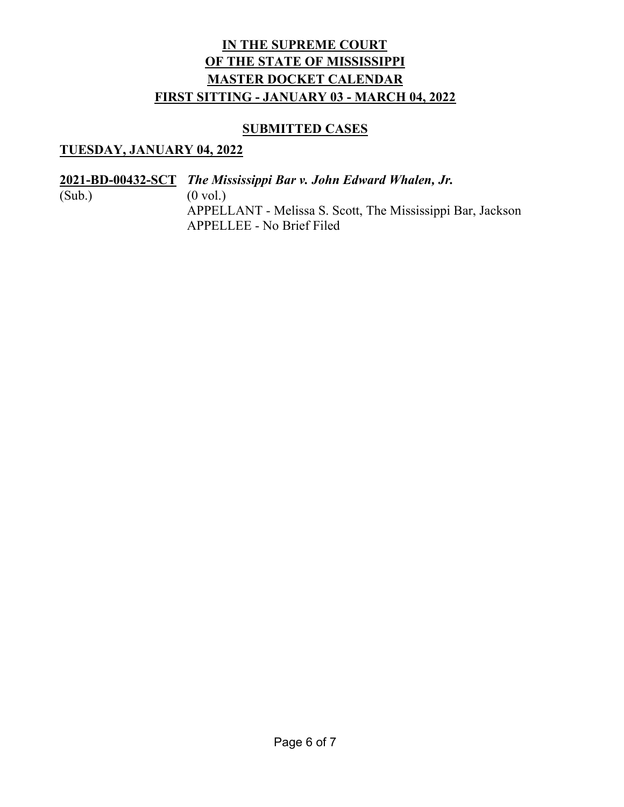#### **SUBMITTED CASES**

# **TUESDAY, JANUARY 04, 2022**

**2021-BD-00432-SCT** *The Mississippi Bar v. John Edward Whalen, Jr.*  $(Sub.)$   $(0 \text{ vol.})$ APPELLANT - Melissa S. Scott, The Mississippi Bar, Jackson APPELLEE - No Brief Filed